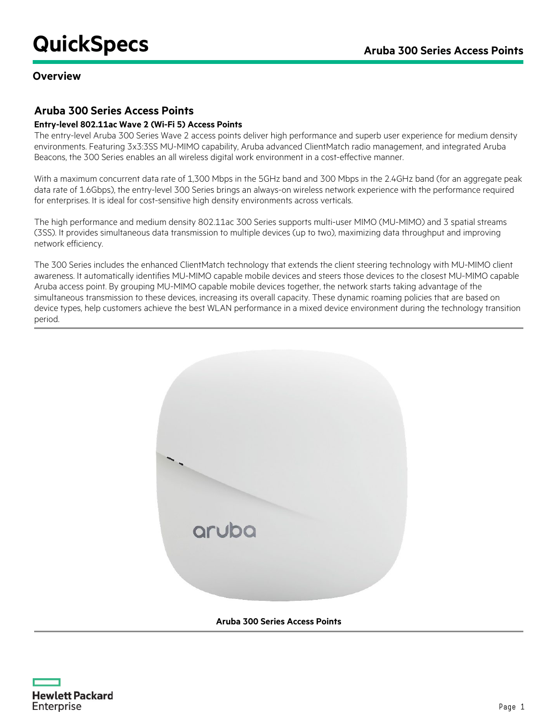## **Overview**

## **Aruba 300 Series Access Points**

#### **Entry-level 802.11ac Wave 2 (Wi-Fi 5) Access Points**

The entry-level Aruba 300 Series Wave 2 access points deliver high performance and superb user experience for medium density environments. Featuring 3x3:3SS MU-MIMO capability, Aruba advanced ClientMatch radio management, and integrated Aruba Beacons, the 300 Series enables an all wireless digital work environment in a cost-effective manner.

With a maximum concurrent data rate of 1,300 Mbps in the 5GHz band and 300 Mbps in the 2.4GHz band (for an aggregate peak data rate of 1.6Gbps), the entry-level 300 Series brings an always-on wireless network experience with the performance required for enterprises. It is ideal for cost-sensitive high density environments across verticals.

The high performance and medium density 802.11ac 300 Series supports multi-user MIMO (MU-MIMO) and 3 spatial streams (3SS). It provides simultaneous data transmission to multiple devices (up to two), maximizing data throughput and improving network efficiency.

The 300 Series includes the enhanced ClientMatch technology that extends the client steering technology with MU-MIMO client awareness. It automatically identifies MU-MIMO capable mobile devices and steers those devices to the closest MU-MIMO capable Aruba access point. By grouping MU-MIMO capable mobile devices together, the network starts taking advantage of the simultaneous transmission to these devices, increasing its overall capacity. These dynamic roaming policies that are based on device types, help customers achieve the best WLAN performance in a mixed device environment during the technology transition period.



**Aruba 300 Series Access Points**

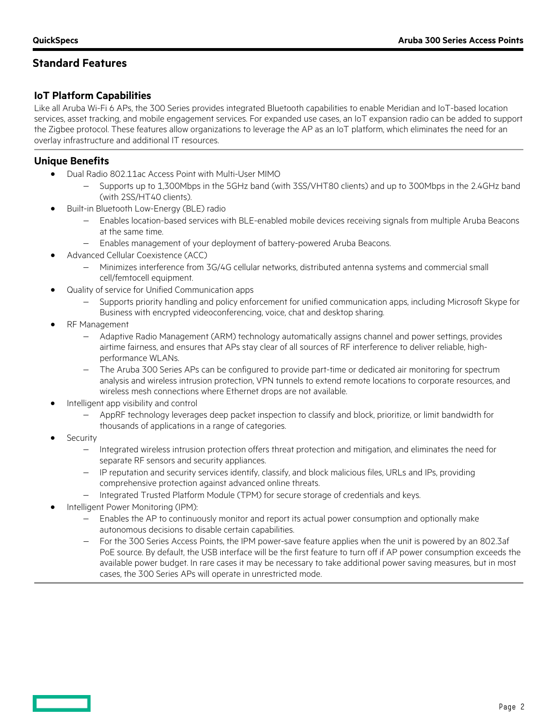# **Standard Features**

## **IoT Platform Capabilities**

Like all Aruba Wi-Fi 6 APs, the 300 Series provides integrated Bluetooth capabilities to enable Meridian and IoT-based location services, asset tracking, and mobile engagement services. For expanded use cases, an IoT expansion radio can be added to support the Zigbee protocol. These features allow organizations to leverage the AP as an IoT platform, which eliminates the need for an overlay infrastructure and additional IT resources.

## **Unique Benefits**

- Dual Radio 802.11ac Access Point with Multi-User MIMO
	- − Supports up to 1,300Mbps in the 5GHz band (with 3SS/VHT80 clients) and up to 300Mbps in the 2.4GHz band (with 2SS/HT40 clients).
- Built-in Bluetooth Low-Energy (BLE) radio
	- − Enables location-based services with BLE-enabled mobile devices receiving signals from multiple Aruba Beacons at the same time.
	- − Enables management of your deployment of battery-powered Aruba Beacons.
- Advanced Cellular Coexistence (ACC)
	- − Minimizes interference from 3G/4G cellular networks, distributed antenna systems and commercial small cell/femtocell equipment.
- Quality of service for Unified Communication apps
	- Supports priority handling and policy enforcement for unified communication apps, including Microsoft Skype for Business with encrypted videoconferencing, voice, chat and desktop sharing.
- RF Management
	- − Adaptive Radio Management (ARM) technology automatically assigns channel and power settings, provides airtime fairness, and ensures that APs stay clear of all sources of RF interference to deliver reliable, highperformance WLANs.
	- − The Aruba 300 Series APs can be configured to provide part-time or dedicated air monitoring for spectrum analysis and wireless intrusion protection, VPN tunnels to extend remote locations to corporate resources, and wireless mesh connections where Ethernet drops are not available.
- Intelligent app visibility and control
	- − AppRF technology leverages deep packet inspection to classify and block, prioritize, or limit bandwidth for thousands of applications in a range of categories.
- **Security** 
	- − Integrated wireless intrusion protection offers threat protection and mitigation, and eliminates the need for separate RF sensors and security appliances.
	- − IP reputation and security services identify, classify, and block malicious files, URLs and IPs, providing comprehensive protection against advanced online threats.
	- − Integrated Trusted Platform Module (TPM) for secure storage of credentials and keys.
- Intelligent Power Monitoring (IPM):
	- Enables the AP to continuously monitor and report its actual power consumption and optionally make autonomous decisions to disable certain capabilities.
	- − For the 300 Series Access Points, the IPM power-save feature applies when the unit is powered by an 802.3af PoE source. By default, the USB interface will be the first feature to turn off if AP power consumption exceeds the available power budget. In rare cases it may be necessary to take additional power saving measures, but in most cases, the 300 Series APs will operate in unrestricted mode.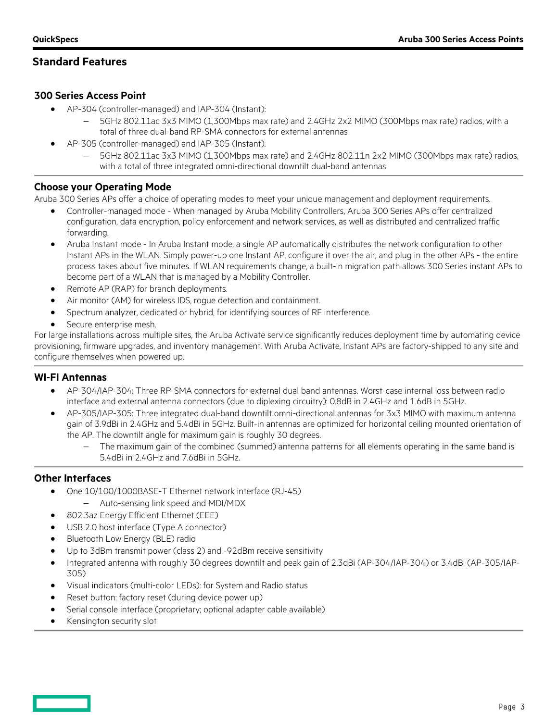## **Standard Features**

## **300 Series Access Point**

- AP-304 (controller-managed) and IAP-304 (Instant):
	- − 5GHz 802.11ac 3x3 MIMO (1,300Mbps max rate) and 2.4GHz 2x2 MIMO (300Mbps max rate) radios, with a total of three dual-band RP-SMA connectors for external antennas
	- AP-305 (controller-managed) and IAP-305 (Instant):
		- − 5GHz 802.11ac 3x3 MIMO (1,300Mbps max rate) and 2.4GHz 802.11n 2x2 MIMO (300Mbps max rate) radios, with a total of three integrated omni-directional downtilt dual-band antennas

### **Choose your Operating Mode**

Aruba 300 Series APs offer a choice of operating modes to meet your unique management and deployment requirements.

- Controller-managed mode When managed by Aruba Mobility Controllers, Aruba 300 Series APs offer centralized configuration, data encryption, policy enforcement and network services, as well as distributed and centralized traffic forwarding.
- Aruba Instant mode In Aruba Instant mode, a single AP automatically distributes the network configuration to other Instant APs in the WLAN. Simply power-up one Instant AP, configure it over the air, and plug in the other APs - the entire process takes about five minutes. If WLAN requirements change, a built-in migration path allows 300 Series instant APs to become part of a WLAN that is managed by a Mobility Controller.
- Remote AP (RAP) for branch deployments.
- Air monitor (AM) for wireless IDS, rogue detection and containment.
- Spectrum analyzer, dedicated or hybrid, for identifying sources of RF interference.
- Secure enterprise mesh.

For large installations across multiple sites, the Aruba Activate service significantly reduces deployment time by automating device provisioning, firmware upgrades, and inventory management. With Aruba Activate, Instant APs are factory-shipped to any site and configure themselves when powered up.

#### **WI-FI Antennas**

- AP-304/IAP-304: Three RP-SMA connectors for external dual band antennas. Worst-case internal loss between radio interface and external antenna connectors (due to diplexing circuitry): 0.8dB in 2.4GHz and 1.6dB in 5GHz.
- AP-305/IAP-305: Three integrated dual-band downtilt omni-directional antennas for 3x3 MIMO with maximum antenna gain of 3.9dBi in 2.4GHz and 5.4dBi in 5GHz. Built-in antennas are optimized for horizontal ceiling mounted orientation of the AP. The downtilt angle for maximum gain is roughly 30 degrees.
	- The maximum gain of the combined (summed) antenna patterns for all elements operating in the same band is 5.4dBi in 2.4GHz and 7.6dBi in 5GHz.

### **Other Interfaces**

- One 10/100/1000BASE-T Ethernet network interface (RJ-45)
	- − Auto-sensing link speed and MDI/MDX
- 802.3az Energy Efficient Ethernet (EEE)
- USB 2.0 host interface (Type A connector)
- Bluetooth Low Energy (BLE) radio
- Up to 3dBm transmit power (class 2) and -92dBm receive sensitivity
- Integrated antenna with roughly 30 degrees downtilt and peak gain of 2.3dBi (AP-304/IAP-304) or 3.4dBi (AP-305/IAP-305)
- Visual indicators (multi-color LEDs): for System and Radio status
- Reset button: factory reset (during device power up)
- Serial console interface (proprietary; optional adapter cable available)
- Kensington security slot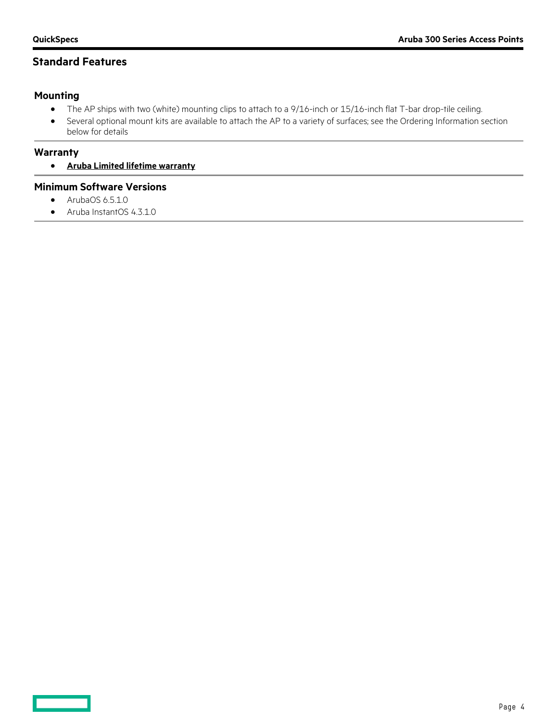## **Standard Features**

## **Mounting**

- The AP ships with two (white) mounting clips to attach to a 9/16-inch or 15/16-inch flat T-bar drop-tile ceiling.
- Several optional mount kits are available to attach the AP to a variety of surfaces; see the Ordering Information section below for details

#### **Warranty**

• **[Aruba Limited lifetime warranty](http://www.arubanetworks.com/support-services/product-warranties/)**

#### **Minimum Software Versions**

- ArubaOS 6.5.1.0
- Aruba InstantOS 4.3.1.0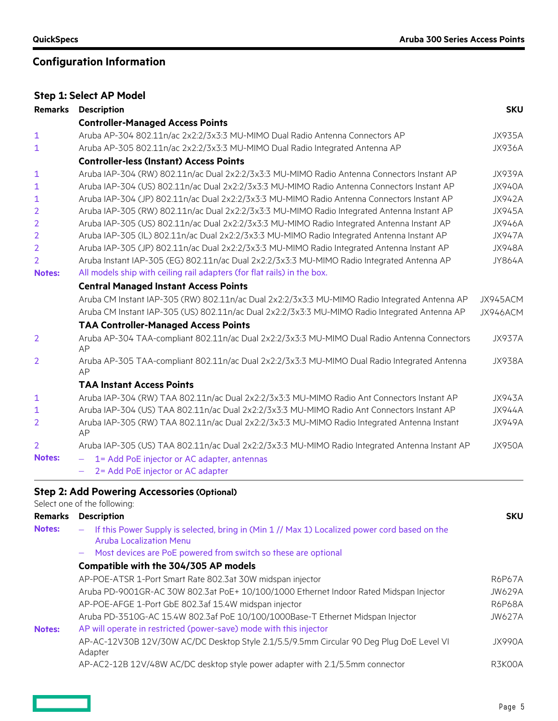# **Configuration Information**

|                | <b>Step 1: Select AP Model</b>                                                                     |               |
|----------------|----------------------------------------------------------------------------------------------------|---------------|
| <b>Remarks</b> | <b>Description</b>                                                                                 | <b>SKU</b>    |
|                | <b>Controller-Managed Access Points</b>                                                            |               |
| 1              | Aruba AP-304 802.11n/ac 2x2:2/3x3:3 MU-MIMO Dual Radio Antenna Connectors AP                       | <b>JX935A</b> |
| 1              | Aruba AP-305 802.11n/ac 2x2:2/3x3:3 MU-MIMO Dual Radio Integrated Antenna AP                       | <b>JX936A</b> |
|                | <b>Controller-less (Instant) Access Points</b>                                                     |               |
| 1              | Aruba IAP-304 (RW) 802.11n/ac Dual 2x2:2/3x3:3 MU-MIMO Radio Antenna Connectors Instant AP         | JX939A        |
| 1              | Aruba IAP-304 (US) 802.11n/ac Dual 2x2:2/3x3:3 MU-MIMO Radio Antenna Connectors Instant AP         | <b>JX940A</b> |
| 1              | Aruba IAP-304 (JP) 802.11n/ac Dual 2x2:2/3x3:3 MU-MIMO Radio Antenna Connectors Instant AP         | <b>JX942A</b> |
| 2              | Aruba IAP-305 (RW) 802.11n/ac Dual 2x2:2/3x3:3 MU-MIMO Radio Integrated Antenna Instant AP         | <b>JX945A</b> |
| $\overline{2}$ | Aruba IAP-305 (US) 802.11n/ac Dual 2x2:2/3x3:3 MU-MIMO Radio Integrated Antenna Instant AP         | <b>JX946A</b> |
| 2              | Aruba IAP-305 (IL) 802.11n/ac Dual 2x2:2/3x3:3 MU-MIMO Radio Integrated Antenna Instant AP         | <b>JX947A</b> |
| $\overline{2}$ | Aruba IAP-305 (JP) 802.11n/ac Dual 2x2:2/3x3:3 MU-MIMO Radio Integrated Antenna Instant AP         | <b>JX948A</b> |
| 2              | Aruba Instant IAP-305 (EG) 802.11n/ac Dual 2x2:2/3x3:3 MU-MIMO Radio Integrated Antenna AP         | JY864A        |
| <b>Notes:</b>  | All models ship with ceiling rail adapters (for flat rails) in the box.                            |               |
|                | <b>Central Managed Instant Access Points</b>                                                       |               |
|                | Aruba CM Instant IAP-305 (RW) 802.11n/ac Dual 2x2:2/3x3:3 MU-MIMO Radio Integrated Antenna AP      | JX945ACM      |
|                | Aruba CM Instant IAP-305 (US) 802.11n/ac Dual 2x2:2/3x3:3 MU-MIMO Radio Integrated Antenna AP      | JX946ACM      |
|                | <b>TAA Controller-Managed Access Points</b>                                                        |               |
| 2              | Aruba AP-304 TAA-compliant 802.11n/ac Dual 2x2:2/3x3:3 MU-MIMO Dual Radio Antenna Connectors<br>AP | <b>JX937A</b> |
| 2              | Aruba AP-305 TAA-compliant 802.11n/ac Dual 2x2:2/3x3:3 MU-MIMO Dual Radio Integrated Antenna<br>AP | <b>JX938A</b> |
|                | <b>TAA Instant Access Points</b>                                                                   |               |
| 1              | Aruba IAP-304 (RW) TAA 802.11n/ac Dual 2x2:2/3x3:3 MU-MIMO Radio Ant Connectors Instant AP         | <b>JX943A</b> |
| $\mathbf{1}$   | Aruba IAP-304 (US) TAA 802.11n/ac Dual 2x2:2/3x3:3 MU-MIMO Radio Ant Connectors Instant AP         | <b>JX944A</b> |
| 2              | Aruba IAP-305 (RW) TAA 802.11n/ac Dual 2x2:2/3x3:3 MU-MIMO Radio Integrated Antenna Instant<br>AP  | <b>JX949A</b> |
| 2              | Aruba IAP-305 (US) TAA 802.11n/ac Dual 2x2:2/3x3:3 MU-MIMO Radio Integrated Antenna Instant AP     | <b>JX950A</b> |
| <b>Notes:</b>  | 1= Add PoE injector or AC adapter, antennas                                                        |               |
|                | 2= Add PoE injector or AC adapter                                                                  |               |

<u>and a sta</u>

|                | Select one of the following:                                                                                                                                |               |  |  |  |
|----------------|-------------------------------------------------------------------------------------------------------------------------------------------------------------|---------------|--|--|--|
| <b>Remarks</b> | <b>Description</b><br><b>SKU</b>                                                                                                                            |               |  |  |  |
| <b>Notes:</b>  | If this Power Supply is selected, bring in (Min 1 // Max 1) Localized power cord based on the<br>$\overline{\phantom{m}}$<br><b>Aruba Localization Menu</b> |               |  |  |  |
|                | - Most devices are PoE powered from switch so these are optional                                                                                            |               |  |  |  |
|                | Compatible with the 304/305 AP models                                                                                                                       |               |  |  |  |
|                | AP-POE-ATSR 1-Port Smart Rate 802.3at 30W midspan injector                                                                                                  | R6P67A        |  |  |  |
|                | Aruba PD-9001GR-AC 30W 802.3at PoE+ 10/100/1000 Ethernet Indoor Rated Midspan Injector                                                                      | <b>JW629A</b> |  |  |  |
|                | AP-POE-AFGE 1-Port GbE 802.3af 15.4W midspan injector                                                                                                       | R6P68A        |  |  |  |
|                | Aruba PD-3510G-AC 15.4W 802.3af PoE 10/100/1000Base-T Ethernet Midspan Injector                                                                             | JW627A        |  |  |  |
| <b>Notes:</b>  | AP will operate in restricted (power-save) mode with this injector                                                                                          |               |  |  |  |
|                | AP-AC-12V30B 12V/30W AC/DC Desktop Style 2.1/5.5/9.5mm Circular 90 Deg Plug DoE Level VI<br>Adapter                                                         | JX990A        |  |  |  |
|                | AP-AC2-12B 12V/48W AC/DC desktop style power adapter with 2.1/5.5mm connector                                                                               | R3K00A        |  |  |  |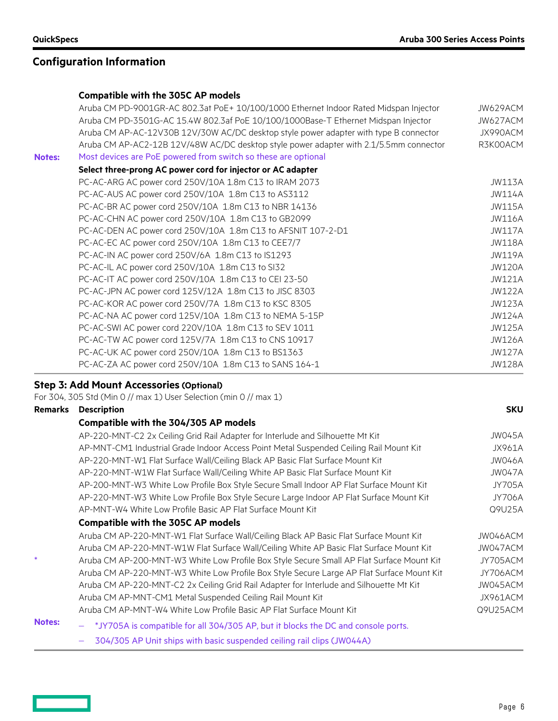# **Configuration Information**

#### **Compatible with the 305C AP models**

|               | Aruba CM PD-9001GR-AC 802.3at PoE+ 10/100/1000 Ethernet Indoor Rated Midspan Injector  | JW629ACM      |
|---------------|----------------------------------------------------------------------------------------|---------------|
|               | Aruba CM PD-3501G-AC 15.4W 802.3af PoE 10/100/1000Base-T Ethernet Midspan Injector     | JW627ACM      |
|               | Aruba CM AP-AC-12V30B 12V/30W AC/DC desktop style power adapter with type B connector  | JX990ACM      |
|               | Aruba CM AP-AC2-12B 12V/48W AC/DC desktop style power adapter with 2.1/5.5mm connector | R3K00ACM      |
| <b>Notes:</b> | Most devices are PoE powered from switch so these are optional                         |               |
|               | Select three-prong AC power cord for injector or AC adapter                            |               |
|               | PC-AC-ARG AC power cord 250V/10A 1.8m C13 to IRAM 2073                                 | <b>JW113A</b> |
|               | PC-AC-AUS AC power cord 250V/10A 1.8m C13 to AS3112                                    | <b>JW114A</b> |
|               | PC-AC-BR AC power cord 250V/10A 1.8m C13 to NBR 14136                                  | <b>JW115A</b> |
|               | PC-AC-CHN AC power cord 250V/10A 1.8m C13 to GB2099                                    | <b>JW116A</b> |
|               | PC-AC-DEN AC power cord 250V/10A 1.8m C13 to AFSNIT 107-2-D1                           | <b>JW117A</b> |
|               | PC-AC-EC AC power cord 250V/10A 1.8m C13 to CEE7/7                                     | <b>JW118A</b> |
|               | PC-AC-IN AC power cord 250V/6A 1.8m C13 to IS1293                                      | <b>JW119A</b> |
|               | PC-AC-IL AC power cord 250V/10A 1.8m C13 to SI32                                       | <b>JW120A</b> |
|               | PC-AC-IT AC power cord 250V/10A 1.8m C13 to CEI 23-50                                  | <b>JW121A</b> |
|               | PC-AC-JPN AC power cord 125V/12A 1.8m C13 to JISC 8303                                 | <b>JW122A</b> |
|               | PC-AC-KOR AC power cord 250V/7A 1.8m C13 to KSC 8305                                   | <b>JW123A</b> |
|               | PC-AC-NA AC power cord 125V/10A 1.8m C13 to NEMA 5-15P                                 | <b>JW124A</b> |
|               | PC-AC-SWI AC power cord 220V/10A 1.8m C13 to SEV 1011                                  | <b>JW125A</b> |
|               | PC-AC-TW AC power cord 125V/7A 1.8m C13 to CNS 10917                                   | <b>JW126A</b> |
|               | PC-AC-UK AC power cord 250V/10A 1.8m C13 to BS1363                                     | <b>JW127A</b> |
|               | PC-AC-ZA AC power cord 250V/10A 1.8m C13 to SANS 164-1                                 | <b>JW128A</b> |
|               |                                                                                        |               |

#### **Step 3: Add Mount Accessories (Optional)**

For 304, 305 Std (Min 0 // max 1) User Selection (min 0 // max 1)

### **Remarks Description SKU**

### **Compatible with the 304/305 AP models**

|               | AP-220-MNT-C2 2x Ceiling Grid Rail Adapter for Interlude and Silhouette Mt Kit            | JW045A        |
|---------------|-------------------------------------------------------------------------------------------|---------------|
|               | AP-MNT-CM1 Industrial Grade Indoor Access Point Metal Suspended Ceiling Rail Mount Kit    | JX961A        |
|               | AP-220-MNT-W1 Flat Surface Wall/Ceiling Black AP Basic Flat Surface Mount Kit             | JW046A        |
|               | AP-220-MNT-W1W Flat Surface Wall/Ceiling White AP Basic Flat Surface Mount Kit            | JW047A        |
|               | AP-200-MNT-W3 White Low Profile Box Style Secure Small Indoor AP Flat Surface Mount Kit   | <b>JY705A</b> |
|               | AP-220-MNT-W3 White Low Profile Box Style Secure Large Indoor AP Flat Surface Mount Kit   | <b>JY706A</b> |
|               | AP-MNT-W4 White Low Profile Basic AP Flat Surface Mount Kit                               | Q9U25A        |
|               | <b>Compatible with the 305C AP models</b>                                                 |               |
|               | Aruba CM AP-220-MNT-W1 Flat Surface Wall/Ceiling Black AP Basic Flat Surface Mount Kit    | JW046ACM      |
|               | Aruba CM AP-220-MNT-W1W Flat Surface Wall/Ceiling White AP Basic Flat Surface Mount Kit   | JW047ACM      |
|               | Aruba CM AP-200-MNT-W3 White Low Profile Box Style Secure Small AP Flat Surface Mount Kit | JY705ACM      |
|               | Aruba CM AP-220-MNT-W3 White Low Profile Box Style Secure Large AP Flat Surface Mount Kit | JY706ACM      |
|               | Aruba CM AP-220-MNT-C2 2x Ceiling Grid Rail Adapter for Interlude and Silhouette Mt Kit   | JW045ACM      |
|               | Aruba CM AP-MNT-CM1 Metal Suspended Ceiling Rail Mount Kit                                | JX961ACM      |
|               | Aruba CM AP-MNT-W4 White Low Profile Basic AP Flat Surface Mount Kit                      | Q9U25ACM      |
| <b>Notes:</b> | - *JY705A is compatible for all 304/305 AP, but it blocks the DC and console ports.       |               |
|               |                                                                                           |               |

− 304/305 AP Unit ships with basic suspended ceiling rail clips (JW044A)

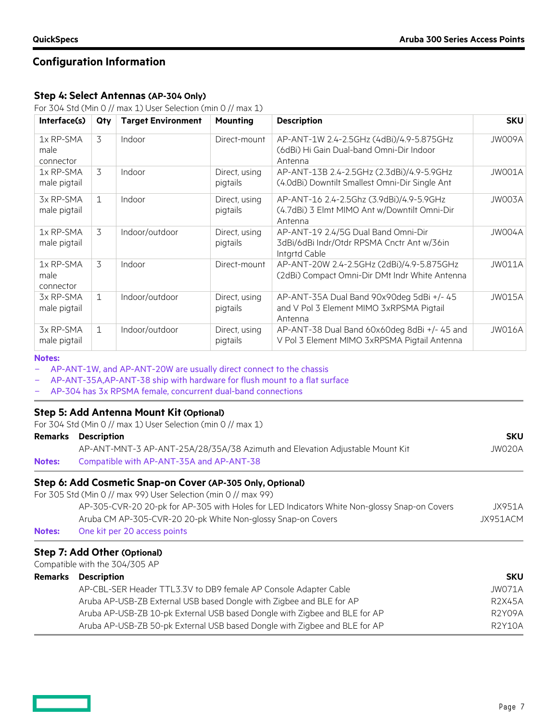## **Configuration Information**

#### **Step 4: Select Antennas (AP-304 Only)**

For 304 Std (Min 0 // max 1) User Selection (min 0 // max 1)

| Interface(s)                   | Qty          | <b>Target Environment</b> | <b>Mounting</b>           | <b>Description</b>                                                                                  | <b>SKU</b>    |
|--------------------------------|--------------|---------------------------|---------------------------|-----------------------------------------------------------------------------------------------------|---------------|
| 1x RP-SMA<br>male<br>connector | 3            | Indoor                    | Direct-mount              | AP-ANT-1W 2.4-2.5GHz (4dBi)/4.9-5.875GHz<br>(6dBi) Hi Gain Dual-band Omni-Dir Indoor<br>Antenna     | JW009A        |
| 1x RP-SMA<br>male pigtail      | 3            | Indoor                    | Direct, using<br>pigtails | AP-ANT-13B 2.4-2.5GHz (2.3dBi)/4.9-5.9GHz<br>(4.0dBi) Downtilt Smallest Omni-Dir Single Ant         | JW001A        |
| 3x RP-SMA<br>male pigtail      | $\mathbf{1}$ | Indoor                    | Direct, using<br>pigtails | AP-ANT-16 2.4-2.5Ghz (3.9dBi)/4.9-5.9GHz<br>(4.7dBi) 3 Elmt MIMO Ant w/Downtilt Omni-Dir<br>Antenna | JW003A        |
| 1x RP-SMA<br>male pigtail      | 3            | Indoor/outdoor            | Direct, using<br>pigtails | AP-ANT-19 2.4/5G Dual Band Omni-Dir<br>3dBi/6dBi Indr/Otdr RPSMA Cnctr Ant w/36in<br>Intgrtd Cable  | JW004A        |
| 1x RP-SMA<br>male<br>connector | 3            | Indoor                    | Direct-mount              | AP-ANT-20W 2.4-2.5GHz (2dBi)/4.9-5.875GHz<br>(2dBi) Compact Omni-Dir DMt Indr White Antenna         | JW011A        |
| 3x RP-SMA<br>male pigtail      | $\mathbf{1}$ | Indoor/outdoor            | Direct, using<br>pigtails | AP-ANT-35A Dual Band 90x90deg 5dBi +/- 45<br>and V Pol 3 Element MIMO 3xRPSMA Pigtail<br>Antenna    | JW015A        |
| 3x RP-SMA<br>male pigtail      | $\mathbf{1}$ | Indoor/outdoor            | Direct, using<br>pigtails | AP-ANT-38 Dual Band 60x60deg 8dBi +/- 45 and<br>V Pol 3 Element MIMO 3xRPSMA Pigtail Antenna        | <b>JW016A</b> |

#### **Notes:**

AP-ANT-1W, and AP-ANT-20W are usually direct connect to the chassis

- AP-ANT-35A,AP-ANT-38 ship with hardware for flush mount to a flat surface
- AP-304 has 3x RPSMA female, concurrent dual-band connections

#### **Step 5: Add Antenna Mount Kit (Optional)**

For 304 Std (Min 0 // max 1) User Selection (min 0 // max 1)

|  | <b>Remarks Description</b> | SKU |
|--|----------------------------|-----|
|--|----------------------------|-----|

|               | AP-ANT-MNT-3 AP-ANT-25A/28/35A/38 Azimuth and Elevation Adjustable Mount Kit | JWO20A |
|---------------|------------------------------------------------------------------------------|--------|
| <b>Notes:</b> | Compatible with AP-ANT-35A and AP-ANT-38                                     |        |

#### **Step 6: Add Cosmetic Snap-on Cover (AP-305 Only, Optional)**

For 305 Std (Min 0 // max 99) User Selection (min 0 // max 99)

|               | AP-305-CVR-20 20-pk for AP-305 with Holes for LED Indicators White Non-glossy Snap-on Covers | JX951A   |
|---------------|----------------------------------------------------------------------------------------------|----------|
|               | Aruba CM AP-305-CVR-20 20-pk White Non-glossy Snap-on Covers                                 | JX951ACM |
| <b>Notes:</b> | One kit per 20 access points                                                                 |          |

#### **Step 7: Add Other (Optional)**

Compatible with the 304/305 AP

| <b>Remarks</b> Description                                                 | <b>SKU</b>    |
|----------------------------------------------------------------------------|---------------|
| AP-CBL-SER Header TTL3.3V to DB9 female AP Console Adapter Cable           | JW071A        |
| Aruba AP-USB-ZB External USB based Dongle with Zigbee and BLE for AP       | <b>R2X45A</b> |
| Aruba AP-USB-ZB 10-pk External USB based Dongle with Zigbee and BLE for AP | R2Y09A        |
| Aruba AP-USB-ZB 50-pk External USB based Dongle with Zigbee and BLE for AP | <b>R2Y10A</b> |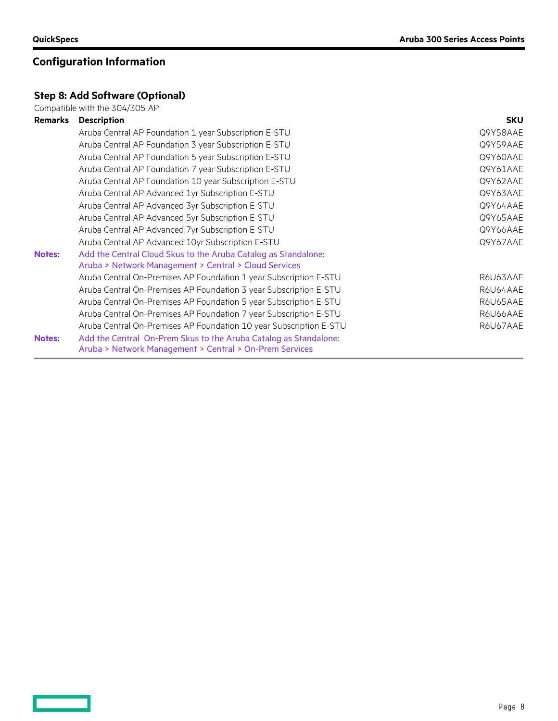<u>and the second</u>

# **Configuration Information**

## **Step 8: Add Software (Optional)**

Compatible with the 304/305 AP

| <b>Remarks</b> | <b>Description</b>                                                 | <b>SKU</b> |
|----------------|--------------------------------------------------------------------|------------|
|                | Aruba Central AP Foundation 1 year Subscription E-STU              | Q9Y58AAE   |
|                | Aruba Central AP Foundation 3 year Subscription E-STU              | Q9Y59AAE   |
|                | Aruba Central AP Foundation 5 year Subscription E-STU              | Q9Y60AAE   |
|                | Aruba Central AP Foundation 7 year Subscription E-STU              | Q9Y61AAE   |
|                | Aruba Central AP Foundation 10 year Subscription E-STU             | Q9Y62AAE   |
|                | Aruba Central AP Advanced 1yr Subscription E-STU                   | Q9Y63AAE   |
|                | Aruba Central AP Advanced 3yr Subscription E-STU                   | Q9Y64AAE   |
|                | Aruba Central AP Advanced 5yr Subscription E-STU                   | Q9Y65AAE   |
|                | Aruba Central AP Advanced 7yr Subscription E-STU                   | Q9Y66AAE   |
|                | Aruba Central AP Advanced 10yr Subscription E-STU                  | Q9Y67AAE   |
| <b>Notes:</b>  | Add the Central Cloud Skus to the Aruba Catalog as Standalone:     |            |
|                | Aruba > Network Management > Central > Cloud Services              |            |
|                | Aruba Central On-Premises AP Foundation 1 year Subscription E-STU  | R6U63AAE   |
|                | Aruba Central On-Premises AP Foundation 3 year Subscription E-STU  | R6U64AAE   |
|                | Aruba Central On-Premises AP Foundation 5 year Subscription E-STU  | R6U65AAE   |
|                | Aruba Central On-Premises AP Foundation 7 year Subscription E-STU  | R6U66AAE   |
|                | Aruba Central On-Premises AP Foundation 10 year Subscription E-STU | R6U67AAE   |
| <b>Notes:</b>  | Add the Central On-Prem Skus to the Aruba Catalog as Standalone:   |            |
|                | Aruba > Network Management > Central > On-Prem Services            |            |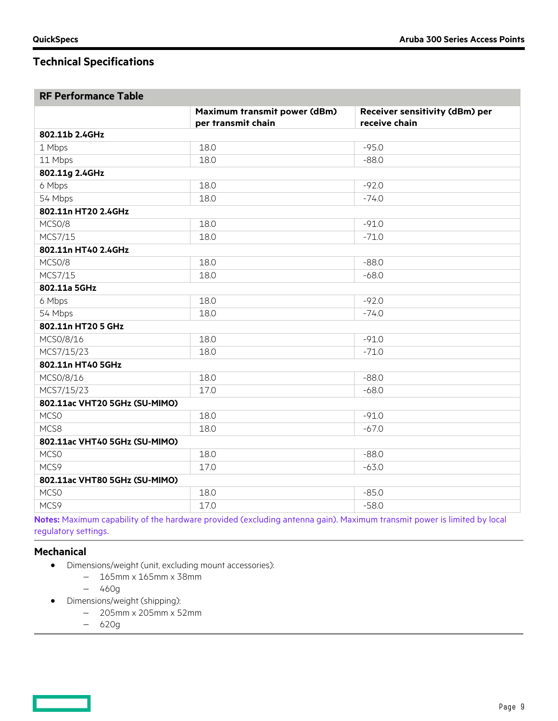# **Technical Specifications**

## **RF Performance Table**

|                               | Maximum transmit power (dBm)<br>per transmit chain | Receiver sensitivity (dBm) per<br>receive chain |  |  |  |  |
|-------------------------------|----------------------------------------------------|-------------------------------------------------|--|--|--|--|
| 802.11b 2.4GHz                |                                                    |                                                 |  |  |  |  |
| 1 Mbps                        | 18.0                                               | $-95.0$                                         |  |  |  |  |
| 11 Mbps                       | 18.0                                               | $-88.0$                                         |  |  |  |  |
| 802.11g 2.4GHz                |                                                    |                                                 |  |  |  |  |
| 6 Mbps                        | 18.0                                               | $-92.0$                                         |  |  |  |  |
| 54 Mbps                       | 18.0                                               | $-74.0$                                         |  |  |  |  |
| 802.11n HT20 2.4GHz           |                                                    |                                                 |  |  |  |  |
| MCSO/8                        | 18.0                                               | $-91.0$                                         |  |  |  |  |
| MCS7/15                       | 18.0                                               | $-71.0$                                         |  |  |  |  |
| 802.11n HT40 2.4GHz           |                                                    |                                                 |  |  |  |  |
| MCSO/8                        | 18.0                                               | $-88.0$                                         |  |  |  |  |
| MCS7/15                       | 18.0                                               | $-68.0$                                         |  |  |  |  |
| 802.11a 5GHz                  |                                                    |                                                 |  |  |  |  |
| 6 Mbps                        | 18.0                                               | $-92.0$                                         |  |  |  |  |
| 54 Mbps                       | 18.0                                               | $-74.0$                                         |  |  |  |  |
| 802.11n HT20 5 GHz            |                                                    |                                                 |  |  |  |  |
| MCS0/8/16                     | 18.0                                               | $-91.0$                                         |  |  |  |  |
| MCS7/15/23                    | 18.0                                               | $-71.0$                                         |  |  |  |  |
| 802.11n HT40 5GHz             |                                                    |                                                 |  |  |  |  |
| MCS0/8/16                     | 18.0                                               | $-88.0$                                         |  |  |  |  |
| MCS7/15/23                    | 17.0                                               | $-68.0$                                         |  |  |  |  |
| 802.11ac VHT20 5GHz (SU-MIMO) |                                                    |                                                 |  |  |  |  |
| MCS <sub>0</sub>              | 18.0                                               | $-91.0$                                         |  |  |  |  |
| MCS8                          | 18.0                                               | $-67.0$                                         |  |  |  |  |
| 802.11ac VHT40 5GHz (SU-MIMO) |                                                    |                                                 |  |  |  |  |
| MCS <sub>0</sub>              | 18.0                                               | $-88.0$                                         |  |  |  |  |
| MCS9                          | 17.0                                               | $-63.0$                                         |  |  |  |  |
| 802.11ac VHT80 5GHz (SU-MIMO) |                                                    |                                                 |  |  |  |  |
| MCS <sub>0</sub>              | 18.0                                               | $-85.0$                                         |  |  |  |  |
| MCS9                          | 17.0                                               | $-58.0$                                         |  |  |  |  |

**Notes:** Maximum capability of the hardware provided (excluding antenna gain). Maximum transmit power is limited by local regulatory settings.

#### **Mechanical**

- Dimensions/weight (unit, excluding mount accessories):
	- − 165mm x 165mm x 38mm
	- − 460g
- Dimensions/weight (shipping):
	- − 205mm x 205mm x 52mm
		- − 620g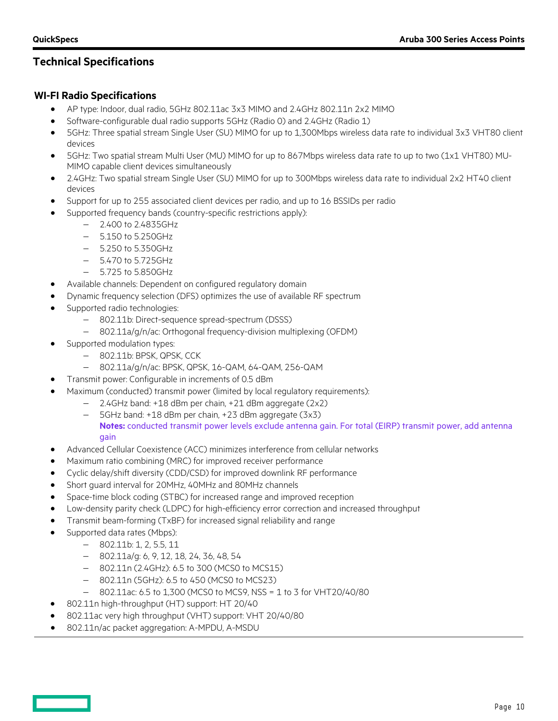# **Technical Specifications**

## **WI-FI Radio Specifications**

- AP type: Indoor, dual radio, 5GHz 802.11ac 3x3 MIMO and 2.4GHz 802.11n 2x2 MIMO
- Software-configurable dual radio supports 5GHz (Radio 0) and 2.4GHz (Radio 1)
- 5GHz: Three spatial stream Single User (SU) MIMO for up to 1,300Mbps wireless data rate to individual 3x3 VHT80 client devices
- 5GHz: Two spatial stream Multi User (MU) MIMO for up to 867Mbps wireless data rate to up to two (1x1 VHT80) MU-MIMO capable client devices simultaneously
- 2.4GHz: Two spatial stream Single User (SU) MIMO for up to 300Mbps wireless data rate to individual 2x2 HT40 client devices
- Support for up to 255 associated client devices per radio, and up to 16 BSSIDs per radio
- Supported frequency bands (country-specific restrictions apply):
	- − 2.400 to 2.4835GHz
	- − 5.150 to 5.250GHz
	- − 5.250 to 5.350GHz
	- − 5.470 to 5.725GHz
	- − 5.725 to 5.850GHz
- Available channels: Dependent on configured regulatory domain
- Dynamic frequency selection (DFS) optimizes the use of available RF spectrum
- Supported radio technologies:
	- − 802.11b: Direct-sequence spread-spectrum (DSSS)
	- − 802.11a/g/n/ac: Orthogonal frequency-division multiplexing (OFDM)
- Supported modulation types:
	- − 802.11b: BPSK, QPSK, CCK
	- − 802.11a/g/n/ac: BPSK, QPSK, 16-QAM, 64-QAM, 256-QAM
- Transmit power: Configurable in increments of 0.5 dBm
- Maximum (conducted) transmit power (limited by local regulatory requirements):
	- − 2.4GHz band: +18 dBm per chain, +21 dBm aggregate (2x2)
		- − 5GHz band: +18 dBm per chain, +23 dBm aggregate (3x3) **Notes:** conducted transmit power levels exclude antenna gain. For total (EIRP) transmit power, add antenna gain

- Advanced Cellular Coexistence (ACC) minimizes interference from cellular networks
- Maximum ratio combining (MRC) for improved receiver performance
- Cyclic delay/shift diversity (CDD/CSD) for improved downlink RF performance
- Short guard interval for 20MHz, 40MHz and 80MHz channels
- Space-time block coding (STBC) for increased range and improved reception
- Low-density parity check (LDPC) for high-efficiency error correction and increased throughput
- Transmit beam-forming (TxBF) for increased signal reliability and range
- Supported data rates (Mbps):
	- − 802.11b: 1, 2, 5.5, 11
	- − 802.11a/g: 6, 9, 12, 18, 24, 36, 48, 54
	- − 802.11n (2.4GHz): 6.5 to 300 (MCS0 to MCS15)
	- − 802.11n (5GHz): 6.5 to 450 (MCS0 to MCS23)
	- − 802.11ac: 6.5 to 1,300 (MCS0 to MCS9, NSS = 1 to 3 for VHT20/40/80
- 802.11n high-throughput (HT) support: HT 20/40
- 802.11ac very high throughput (VHT) support: VHT 20/40/80
- 802.11n/ac packet aggregation: A-MPDU, A-MSDU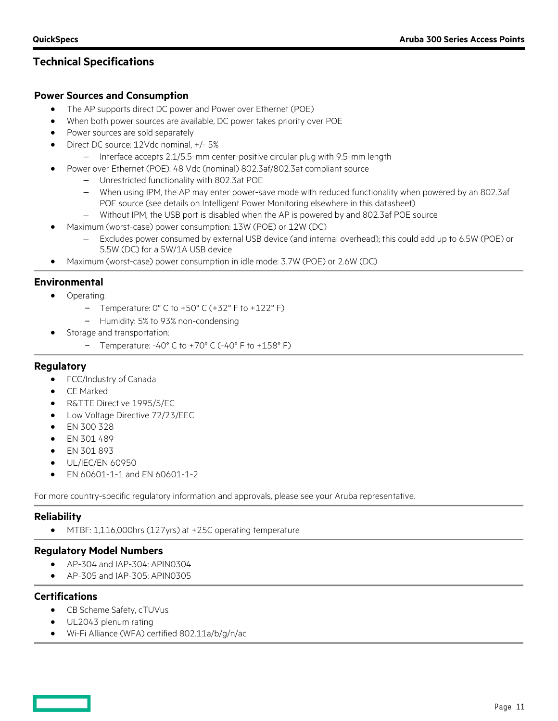# **Technical Specifications**

## **Power Sources and Consumption**

- The AP supports direct DC power and Power over Ethernet (POE)
- When both power sources are available, DC power takes priority over POE
- Power sources are sold separately
- Direct DC source: 12Vdc nominal, +/- 5%
	- − Interface accepts 2.1/5.5-mm center-positive circular plug with 9.5-mm length
- Power over Ethernet (POE): 48 Vdc (nominal) 802.3af/802.3at compliant source
	- − Unrestricted functionality with 802.3at POE
	- − When using IPM, the AP may enter power-save mode with reduced functionality when powered by an 802.3af POE source (see details on Intelligent Power Monitoring elsewhere in this datasheet)
	- − Without IPM, the USB port is disabled when the AP is powered by and 802.3af POE source
- Maximum (worst-case) power consumption: 13W (POE) or 12W (DC)
	- − Excludes power consumed by external USB device (and internal overhead); this could add up to 6.5W (POE) or 5.5W (DC) for a 5W/1A USB device
- Maximum (worst-case) power consumption in idle mode: 3.7W (POE) or 2.6W (DC)

## **Environmental**

- Operating:
	- Temperature: 0° C to +50° C (+32° F to +122° F)
	- Humidity: 5% to 93% non-condensing
- Storage and transportation:
	- Temperature: -40° C to +70° C (-40° F to +158° F)

## **Regulatory**

- FCC/Industry of Canada
- CE Marked
- R&TTE Directive 1995/5/EC
- Low Voltage Directive 72/23/EEC
- EN 300 328
- EN 301 489
- EN 301 893
- UL/IEC/EN 60950
- EN 60601-1-1 and EN 60601-1-2

For more country-specific regulatory information and approvals, please see your Aruba representative.

## **Reliability**

• MTBF: 1,116,000hrs (127yrs) at +25C operating temperature

## **Regulatory Model Numbers**

- AP-304 and IAP-304: APIN0304
- AP-305 and IAP-305: APIN0305

## **Certifications**

- CB Scheme Safety, cTUVus
- UL2043 plenum rating
- Wi-Fi Alliance (WFA) certified 802.11a/b/g/n/ac

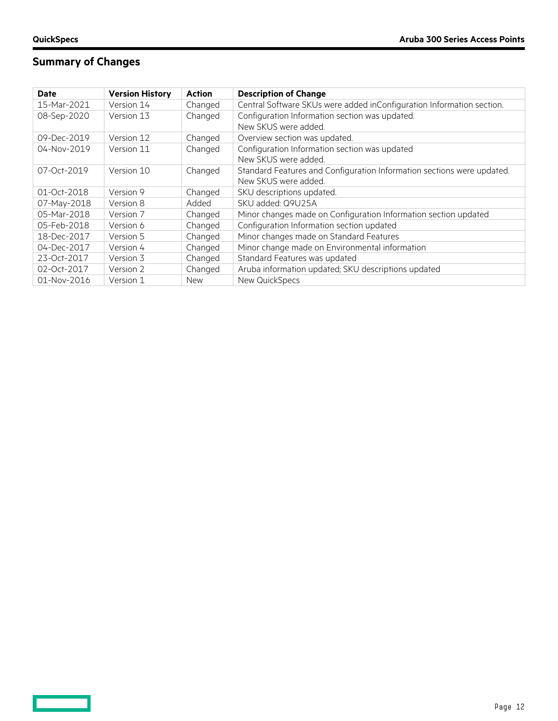$\qquad \qquad$ 

# **Summary of Changes**

| Date        | <b>Version History</b> | <b>Action</b> | <b>Description of Change</b>                                                                   |
|-------------|------------------------|---------------|------------------------------------------------------------------------------------------------|
| 15-Mar-2021 | Version 14             | Changed       | Central Software SKUs were added inConfiguration Information section.                          |
| 08-Sep-2020 | Version 13             | Changed       | Configuration Information section was updated.<br>New SKUS were added.                         |
| 09-Dec-2019 | Version 12             | Changed       | Overview section was updated.                                                                  |
| 04-Nov-2019 | Version 11             | Changed       | Configuration Information section was updated<br>New SKUS were added.                          |
| 07-Oct-2019 | Version 10             | Changed       | Standard Features and Configuration Information sections were updated.<br>New SKUS were added. |
| 01-Oct-2018 | Version 9              | Changed       | SKU descriptions updated.                                                                      |
| 07-May-2018 | Version 8              | Added         | SKU added: Q9U25A                                                                              |
| 05-Mar-2018 | Version 7              | Changed       | Minor changes made on Configuration Information section updated                                |
| 05-Feb-2018 | Version 6              | Changed       | Configuration Information section updated                                                      |
| 18-Dec-2017 | Version 5              | Changed       | Minor changes made on Standard Features                                                        |
| 04-Dec-2017 | Version 4              | Changed       | Minor change made on Environmental information                                                 |
| 23-Oct-2017 | Version 3              | Changed       | Standard Features was updated                                                                  |
| 02-Oct-2017 | Version 2              | Changed       | Aruba information updated; SKU descriptions updated                                            |
| 01-Nov-2016 | Version 1              | <b>New</b>    | New QuickSpecs                                                                                 |